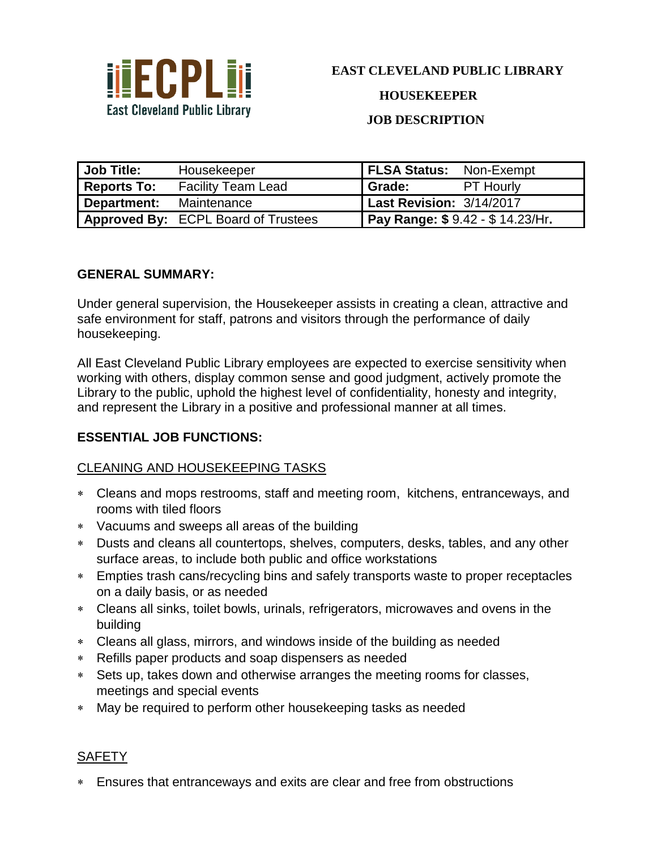

**JOB DESCRIPTION**

| Job Title:         | Housekeeper                                | <b>FLSA Status: Non-Exempt</b>  |                  |
|--------------------|--------------------------------------------|---------------------------------|------------------|
| <b>Reports To:</b> | <b>Facility Team Lead</b>                  | Grade:                          | <b>PT Hourly</b> |
| Department:        | Maintenance                                | <b>Last Revision: 3/14/2017</b> |                  |
|                    | <b>Approved By: ECPL Board of Trustees</b> | Pay Range: \$9.42 - \$14.23/Hr. |                  |

### **GENERAL SUMMARY:**

Under general supervision, the Housekeeper assists in creating a clean, attractive and safe environment for staff, patrons and visitors through the performance of daily housekeeping.

All East Cleveland Public Library employees are expected to exercise sensitivity when working with others, display common sense and good judgment, actively promote the Library to the public, uphold the highest level of confidentiality, honesty and integrity, and represent the Library in a positive and professional manner at all times.

### **ESSENTIAL JOB FUNCTIONS:**

### CLEANING AND HOUSEKEEPING TASKS

- Cleans and mops restrooms, staff and meeting room, kitchens, entranceways, and rooms with tiled floors
- Vacuums and sweeps all areas of the building
- Dusts and cleans all countertops, shelves, computers, desks, tables, and any other surface areas, to include both public and office workstations
- Empties trash cans/recycling bins and safely transports waste to proper receptacles on a daily basis, or as needed
- Cleans all sinks, toilet bowls, urinals, refrigerators, microwaves and ovens in the building
- Cleans all glass, mirrors, and windows inside of the building as needed
- Refills paper products and soap dispensers as needed
- Sets up, takes down and otherwise arranges the meeting rooms for classes, meetings and special events
- May be required to perform other housekeeping tasks as needed

### **SAFETY**

Ensures that entranceways and exits are clear and free from obstructions